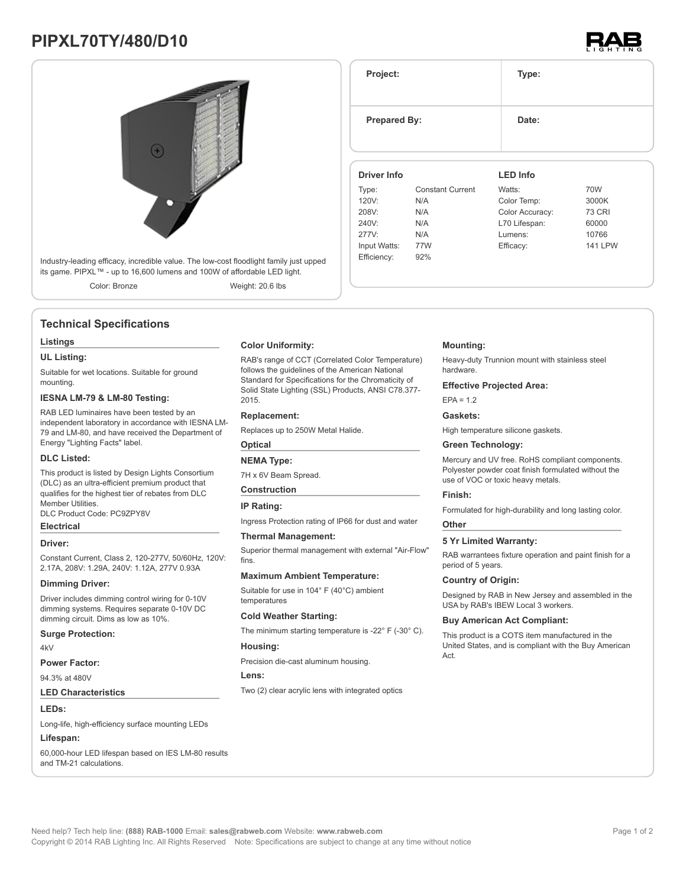## **PIPXL70TY/480/D10**





## **Technical Specifications**

#### **Listings**

**UL Listing:**

Suitable for wet locations. Suitable for ground mounting.

## **IESNA LM-79 & LM-80 Testing:**

RAB LED luminaires have been tested by an independent laboratory in accordance with IESNA LM-79 and LM-80, and have received the Department of Energy "Lighting Facts" label.

#### **DLC Listed:**

This product is listed by Design Lights Consortium (DLC) as an ultra-efficient premium product that qualifies for the highest tier of rebates from DLC Member Utilities. DLC Product Code: PC9ZPY8V

## **Electrical Driver:**

Constant Current, Class 2, 120-277V, 50/60Hz, 120V: 2.17A, 208V: 1.29A, 240V: 1.12A, 277V 0.93A

#### **Dimming Driver:**

Driver includes dimming control wiring for 0-10V dimming systems. Requires separate 0-10V DC dimming circuit. Dims as low as 10%.

### **Surge Protection:**

4kV

#### **Power Factor:**

94.3% at 480V

#### **LED Characteristics**

**LEDs:**

Long-life, high-efficiency surface mounting LEDs

## **Lifespan:**

60,000-hour LED lifespan based on IES LM-80 results and TM-21 calculations.

#### **Color Uniformity:**

RAB's range of CCT (Correlated Color Temperature) follows the guidelines of the American National Standard for Specifications for the Chromaticity of Solid State Lighting (SSL) Products, ANSI C78.377- 2015.

#### **Replacement:**

Replaces up to 250W Metal Halide.

## **Optical**

#### **NEMA Type:**

7H x 6V Beam Spread.

#### **Construction**

#### **IP Rating:**

Ingress Protection rating of IP66 for dust and water

#### **Thermal Management:**

Superior thermal management with external "Air-Flow" fins.

#### **Maximum Ambient Temperature:**

Suitable for use in 104° F (40°C) ambient temperatures

#### **Cold Weather Starting:**

The minimum starting temperature is -22° F (-30° C).

#### **Housing:**

Precision die-cast aluminum housing.

#### **Lens:**

Two (2) clear acrylic lens with integrated optics

# **Project: Type: Prepared By:** Date: **Driver Info LED Info**

| Type:        | <b>Constant Current</b> | Watts:          | 70W            |
|--------------|-------------------------|-----------------|----------------|
| 120V:        | N/A                     | Color Temp:     | 3000K          |
| 208V:        | N/A                     | Color Accuracy: | <b>73 CRI</b>  |
| 240V:        | N/A                     | L70 Lifespan:   | 60000          |
| 277V:        | N/A                     | Lumens:         | 10766          |
| Input Watts: | 77W                     | Efficacy:       | <b>141 LPW</b> |
| Efficiency:  | 92%                     |                 |                |

#### **Mounting:**

Heavy-duty Trunnion mount with stainless steel hardware.

#### **Effective Projected Area:**

 $EPA = 1.2$ 

## **Gaskets:**

High temperature silicone gaskets.

#### **Green Technology:**

Mercury and UV free. RoHS compliant components. Polyester powder coat finish formulated without the use of VOC or toxic heavy metals.

#### **Finish:**

Formulated for high-durability and long lasting color.

#### **Other**

#### **5 Yr Limited Warranty:**

RAB warrantees fixture operation and paint finish for a period of 5 years.

#### **Country of Origin:**

Designed by RAB in New Jersey and assembled in the USA by RAB's IBEW Local 3 workers.

#### **Buy American Act Compliant:**

This product is a COTS item manufactured in the United States, and is compliant with the Buy American Act.